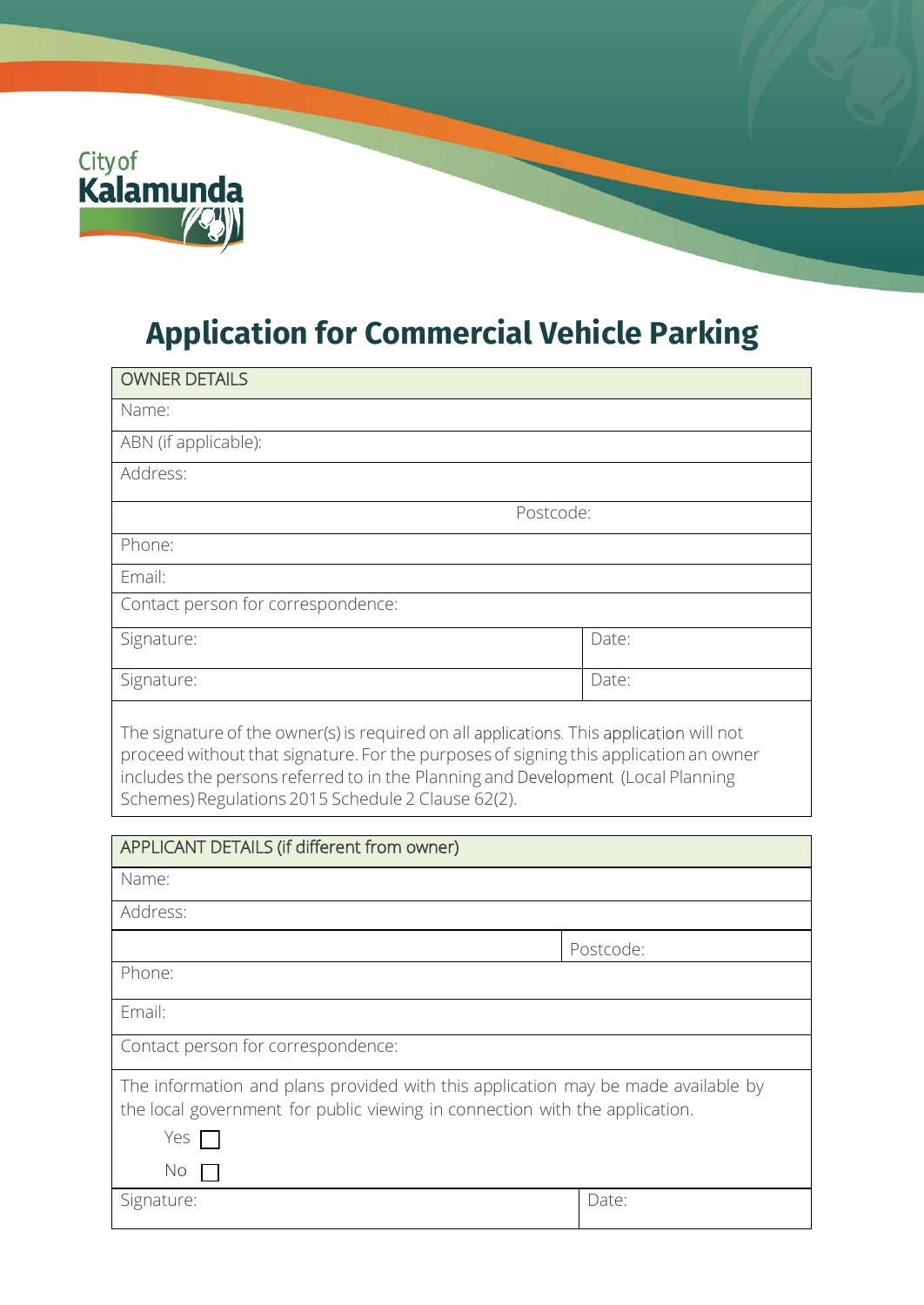

## **Application for Commercial Vehicle Parking**

| <b>OWNER DETAILS</b>                                                                                                                                                                                                                                                                                                        |       |  |
|-----------------------------------------------------------------------------------------------------------------------------------------------------------------------------------------------------------------------------------------------------------------------------------------------------------------------------|-------|--|
| Name:                                                                                                                                                                                                                                                                                                                       |       |  |
| ABN (if applicable):                                                                                                                                                                                                                                                                                                        |       |  |
| Address:                                                                                                                                                                                                                                                                                                                    |       |  |
| Postcode:                                                                                                                                                                                                                                                                                                                   |       |  |
| Phone:                                                                                                                                                                                                                                                                                                                      |       |  |
| Email:                                                                                                                                                                                                                                                                                                                      |       |  |
| Contact person for correspondence:                                                                                                                                                                                                                                                                                          |       |  |
| Signature:                                                                                                                                                                                                                                                                                                                  | Date: |  |
| Signature:                                                                                                                                                                                                                                                                                                                  | Date: |  |
| The signature of the owner(s) is required on all applications. This application will not<br>proceed without that signature. For the purposes of signing this application an owner<br>includes the persons referred to in the Planning and Development (Local Planning<br>Schemes) Regulations 2015 Schedule 2 Clause 62(2). |       |  |

| APPLICANT DETAILS (if different from owner)                                                                                                                                          |           |
|--------------------------------------------------------------------------------------------------------------------------------------------------------------------------------------|-----------|
| Name:                                                                                                                                                                                |           |
| Address:                                                                                                                                                                             |           |
|                                                                                                                                                                                      | Postcode: |
| Phone:                                                                                                                                                                               |           |
| Email:                                                                                                                                                                               |           |
| Contact person for correspondence:                                                                                                                                                   |           |
| The information and plans provided with this application may be made available by<br>the local government for public viewing in connection with the application.<br>Yes $\Box$<br>No |           |
| Signature:                                                                                                                                                                           | Date:     |